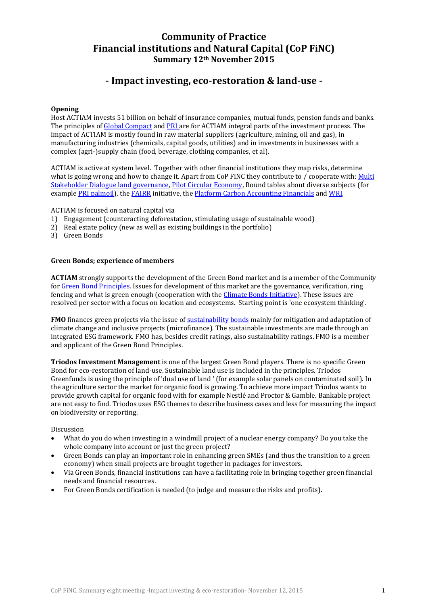## **Community of Practice Financial institutions and Natural Capital (CoP FiNC) Summary 12th November 2015**

# **- Impact investing, eco-restoration & land-use -**

### **Opening**

Host ACTIAM invests 51 billion on behalf of insurance companies, mutual funds, pension funds and banks. The principles of [Global Compact](https://www.unglobalcompact.org/what-is-gc/mission/principles) and [PRI](http://www.unpri.org/about-pri/about-pri/) are for ACTIAM integral parts of the investment process. The impact of ACTIAM is mostly found in raw material suppliers (agriculture, mining, oil and gas), in manufacturing industries (chemicals, capital goods, utilities) and in investments in businesses with a complex (agri-)supply chain (food, beverage, clothing companies, et al).

ACTIAM is active at system level. Together with other financial institutions they map risks, determine what is going wrong and how to change it. Apart from CoP FiNC they contribute to / cooperate with: Multi [Stakeholder Dialogue land](http://www.landgovernance.org/start-new-land-governance-multi-stakeholder-dialogue/) governance[, Pilot Circular Economy,](http://www.circle-economy.com/news/actiam-launching-customer-for-circularity-assessment-tool/) Round tables about diverse subjects (for example [PRI palmoil\)](http://www.unpri.org/press/institutional-investors-call-on-palm-oil-producers-to-adhere-to-rspo-principles-as-next-phase-of-engagement-begins/), the [FAIRR](http://www.fairr.org/) initiative, the [Platform Carbon Accounting Financials](http://nieuws.asnbank.nl/financiele-instellingen-ontwikkelen-meetlat-voor-hun-klimaatimpact) and [WRI.](http://www.wri.org/) 

ACTIAM is focused on natural capital via

- 1) Engagement (counteracting deforestation, stimulating usage of sustainable wood)
- 2) Real estate policy (new as well as existing buildings in the portfolio)
- 3) Green Bonds

#### **Green Bonds; experience of members**

**ACTIAM** strongly supports the development of the Green Bond market and is a member of the Community for [Green Bond Principles.](http://www.icmagroup.org/Regulatory-Policy-and-Market-Practice/green-bonds/green-bond-principles/) Issues for development of this market are the governance, verification, ring fencing and what is green enough (cooperation with the *Climate Bonds Initiative*). These issues are resolved per sector with a focus on location and ecosystems. Starting point is 'one ecosystem thinking'.

**FMO** finances green projects via the issue of **[sustainability bonds](https://www.fmo.nl/susbonds)** mainly for mitigation and adaptation of climate change and inclusive projects (microfinance). The sustainable investments are made through an integrated ESG framework. FMO has, besides credit ratings, also sustainability ratings. FMO is a member and applicant of the Green Bond Principles.

**Triodos Investment Management** is one of the largest Green Bond players. There is no specific Green Bond for eco-restoration of land-use. Sustainable land use is included in the principles. Triodos Greenfunds is using the principle of 'dual use of land ' (for example solar panels on contaminated soil). In the agriculture sector the market for organic food is growing. To achieve more impact Triodos wants to provide growth capital for organic food with for example Nestlé and Proctor & Gamble. Bankable project are not easy to find. Triodos uses ESG themes to describe business cases and less for measuring the impact on biodiversity or reporting.

Discussion

- What do you do when investing in a windmill project of a nuclear energy company? Do you take the whole company into account or just the green project?
- Green Bonds can play an important role in enhancing green SMEs (and thus the transition to a green economy) when small projects are brought together in packages for investors.
- Via Green Bonds, financial institutions can have a facilitating role in bringing together green financial needs and financial resources.
- For Green Bonds certification is needed (to judge and measure the risks and profits).